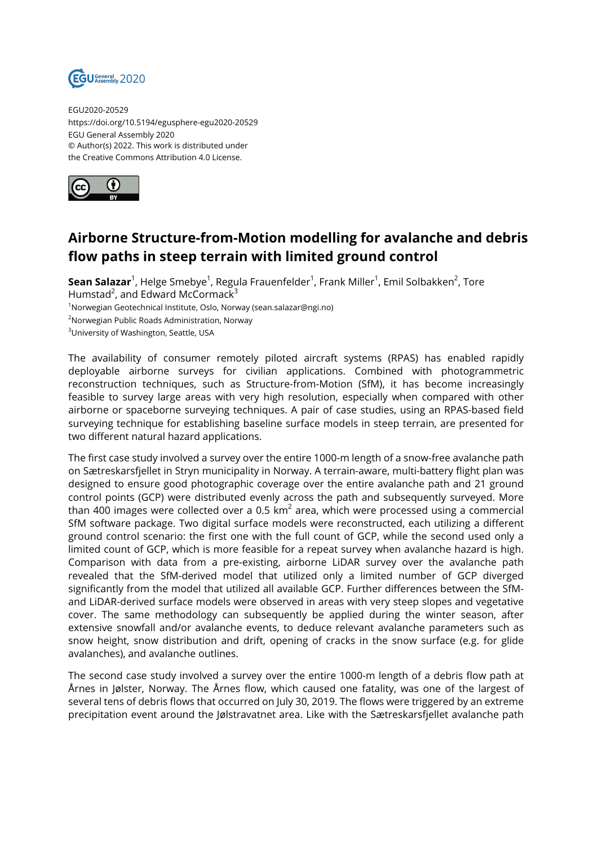

EGU2020-20529 https://doi.org/10.5194/egusphere-egu2020-20529 EGU General Assembly 2020 © Author(s) 2022. This work is distributed under the Creative Commons Attribution 4.0 License.



## **Airborne Structure-from-Motion modelling for avalanche and debris flow paths in steep terrain with limited ground control**

**Sean Salazar**<sup>1</sup>, Helge Smebye<sup>1</sup>, Regula Frauenfelder<sup>1</sup>, Frank Miller<sup>1</sup>, Emil Solbakken<sup>2</sup>, Tore Humstad<sup>2</sup>, and Edward McCormack<sup>3</sup> <sup>1</sup>Norwegian Geotechnical Institute, Oslo, Norway (sean.salazar@ngi.no) <sup>2</sup>Norwegian Public Roads Administration, Norway <sup>3</sup>University of Washington, Seattle, USA

The availability of consumer remotely piloted aircraft systems (RPAS) has enabled rapidly deployable airborne surveys for civilian applications. Combined with photogrammetric reconstruction techniques, such as Structure-from-Motion (SfM), it has become increasingly feasible to survey large areas with very high resolution, especially when compared with other airborne or spaceborne surveying techniques. A pair of case studies, using an RPAS-based field surveying technique for establishing baseline surface models in steep terrain, are presented for two different natural hazard applications.

The first case study involved a survey over the entire 1000-m length of a snow-free avalanche path on Sætreskarsfjellet in Stryn municipality in Norway. A terrain-aware, multi-battery flight plan was designed to ensure good photographic coverage over the entire avalanche path and 21 ground control points (GCP) were distributed evenly across the path and subsequently surveyed. More than 400 images were collected over a 0.5 km $^2$  area, which were processed using a commercial SfM software package. Two digital surface models were reconstructed, each utilizing a different ground control scenario: the first one with the full count of GCP, while the second used only a limited count of GCP, which is more feasible for a repeat survey when avalanche hazard is high. Comparison with data from a pre-existing, airborne LiDAR survey over the avalanche path revealed that the SfM-derived model that utilized only a limited number of GCP diverged significantly from the model that utilized all available GCP. Further differences between the SfMand LiDAR-derived surface models were observed in areas with very steep slopes and vegetative cover. The same methodology can subsequently be applied during the winter season, after extensive snowfall and/or avalanche events, to deduce relevant avalanche parameters such as snow height, snow distribution and drift, opening of cracks in the snow surface (e.g. for glide avalanches), and avalanche outlines.

The second case study involved a survey over the entire 1000-m length of a debris flow path at Årnes in Jølster, Norway. The Årnes flow, which caused one fatality, was one of the largest of several tens of debris flows that occurred on July 30, 2019. The flows were triggered by an extreme precipitation event around the Jølstravatnet area. Like with the Sætreskarsfjellet avalanche path